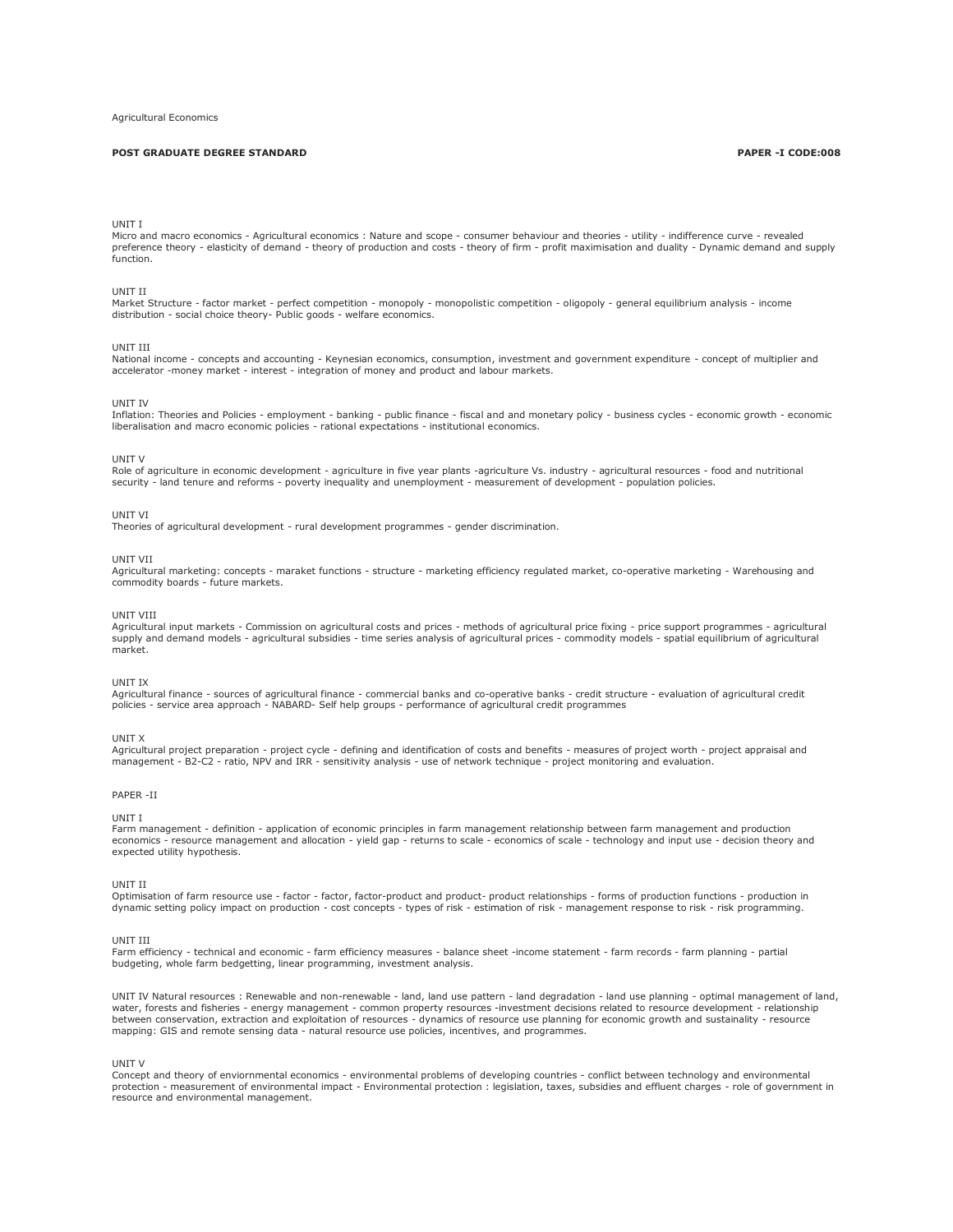# **POST GRADUATE DEGREE STANDARD PAPER -I CODE:008**

## UNIT I

Micro and macro economics - Agricultural economics : Nature and scope - consumer behaviour and theories - utility - indifference curve - revealed<br>preference theory - elasticity of demand - theory of production and costs function.

### UNIT II

Market Structure - factor market - perfect competition - monopoly - monopolistic competition - oligopoly - general equilibrium analysis - income distribution - social choice theory- Public goods - welfare economics.

### UNIT III

National income - concepts and accounting - Keynesian economics, consumption, investment and government expenditure - concept of multiplier and<br>accelerator -money market - interest - integration of money and product and la

### UNIT IV

Inflation: Theories and Policies - employment - banking - public finance - fiscal and and monetary policy - business cycles - economic growth - economic liberalisation and macro economic policies - rational expectations - institutional economics.

#### UNIT V

Role of agriculture in economic development - agriculture in five year plants -agriculture Vs. industry - agricultural resources - food and nutritional<br>security - land tenure and reforms - poverty inequality and unemployme

#### UNIT VI

Theories of agricultural development - rural development programmes - gender discrimination.

#### UNIT VII

Agricultural marketing: concepts - maraket functions - structure - marketing efficiency regulated market, co-operative marketing - Warehousing and commodity boards - future markets.

#### UNIT VIII

Agricultural input markets - Commission on agricultural costs and prices - methods of agricultural price fixing - price support programmes - agricultural supply and demand models - agricultural subsidies - time series analysis of agricultural prices - commodity models - spatial equilibrium of agricultural market.

## UNIT IX

Agricultural finance - sources of agricultural finance - commercial banks and co-operative banks - credit structure - evaluation of agricultural credit policies - service area approach - NABARD- Self help groups - performance of agricultural credit programmes

## UNIT X

Agricultural project preparation - project cycle - defining and identification of costs and benefits - measures of project worth - project appraisal and management - B2-C2 - ratio, NPV and IRR - sensitivity analysis - use of network technique - project monitoring and evaluation.

### PAPER -II

UNIT I

Farm management - definition - application of economic principles in farm management relationship between farm management and production economics - resource management and allocation - yield gap - returns to scale - economics of scale - technology and input use - decision theory and expected utility hypothesis.

#### UNIT II

Optimisation of farm resource use - factor - factor, factor-product and product- product relationships - forms of production functions - production in dynamic setting policy impact on production - cost concepts - types of risk - estimation of risk - management response to risk - risk programming.

### UNIT III

Farm efficiency - technical and economic - farm efficiency measures - balance sheet -income statement - farm records - farm planning - partial budgeting, whole farm bedgetting, linear programming, investment analysis.

UNIT IV Natural resources : Renewable and non-renewable - land, land use pattern - land degradation - land use planning - optimal management of land, water, forests and fisheries - energy management - common property resources -investment decisions related to resource development - relationship between conservation, extraction and exploitation of resources - dynamics of resource use planning for economic growth and sustainality - resource mapping: GIS and remote sensing data - natural resource use policies, incentives, and programmes.

## UNIT V

Concept and theory of enviornmental economics - environmental problems of developing countries - conflict between technology and environmental protection - measurement of environmental impact - Environmental protection : legislation, taxes, subsidies and effluent charges - role of government in resource and environmental management.